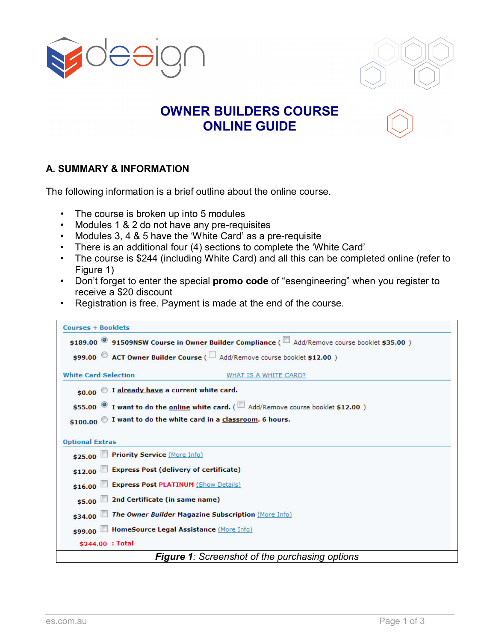



## **OWNER BUILDERS COURSE ONLINE GUIDE**

## **A. SUMMARY & INFORMATION**

The following information is a brief outline about the online course.

- The course is broken up into 5 modules
- Modules 1 & 2 do not have any pre-requisites
- Modules 3, 4 & 5 have the 'White Card' as a pre-requisite
- There is an additional four (4) sections to complete the 'White Card'
- The course is \$244 (including White Card) and all this can be completed online (refer to Figure 1)
- Don't forget to enter the special **promo code** of "esengineering" when you register to receive a \$20 discount
- Registration is free. Payment is made at the end of the course.

| <b>Courses + Booklets</b>                                                                           |  |  |  |
|-----------------------------------------------------------------------------------------------------|--|--|--|
| \$189.00 91509NSW Course in Owner Builder Compliance (E Add/Remove course booklet \$35.00)          |  |  |  |
| \$99.00 ACT Owner Builder Course ( Add/Remove course booklet \$12.00 )                              |  |  |  |
| <b>White Card Selection</b><br>WHAT IS A WHITE CARD?                                                |  |  |  |
| $$0.00$ $\degree$ I already have a current white card.                                              |  |  |  |
| \$55.00 <sup>1</sup> want to do the <b>online white card.</b> ( 4dd/Remove course booklet \$12.00 ) |  |  |  |
| \$100.00 $\bullet$ I want to do the white card in a classroom. 6 hours.                             |  |  |  |
| <b>Optional Extras</b>                                                                              |  |  |  |
| \$25.00 Priority Service (More Info)                                                                |  |  |  |
| \$12.00 Express Post (delivery of certificate)                                                      |  |  |  |
| \$16.00 Express Post PLATINUM (Show Details)                                                        |  |  |  |
| \$5.00 2nd Certificate (in same name)                                                               |  |  |  |
| \$34.00 The Owner Builder Magazine Subscription (More Info)                                         |  |  |  |
| \$99.00 HomeSource Legal Assistance (More Info)                                                     |  |  |  |
| \$244.00 : Total                                                                                    |  |  |  |
| <b>Figure 1:</b> Screenshot of the purchasing options                                               |  |  |  |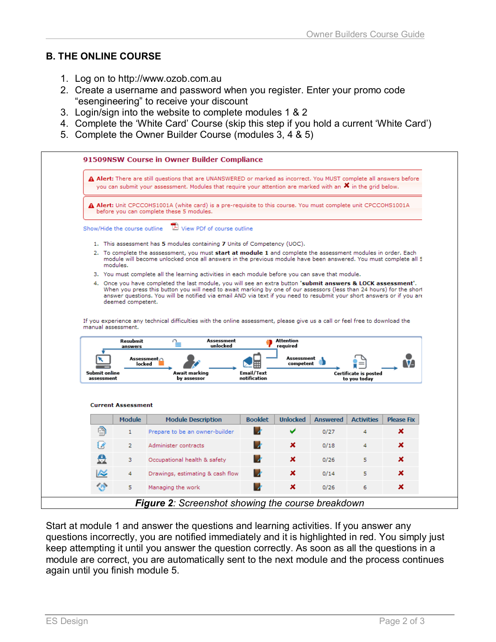## **B. THE ONLINE COURSE**

- 1. Log on to http://www.ozob.com.au
- 2. Create a username and password when you register. Enter your promo code "esengineering" to receive your discount
- 3. Login/sign into the website to complete modules 1 & 2
- 4. Complete the 'White Card' Course (skip this step if you hold a current 'White Card')
- 5. Complete the Owner Builder Course (modules 3, 4 & 5)



Start at module 1 and answer the questions and learning activities. If you answer any questions incorrectly, you are notified immediately and it is highlighted in red. You simply just keep attempting it until you answer the question correctly. As soon as all the questions in a module are correct, you are automatically sent to the next module and the process continues again until you finish module 5.